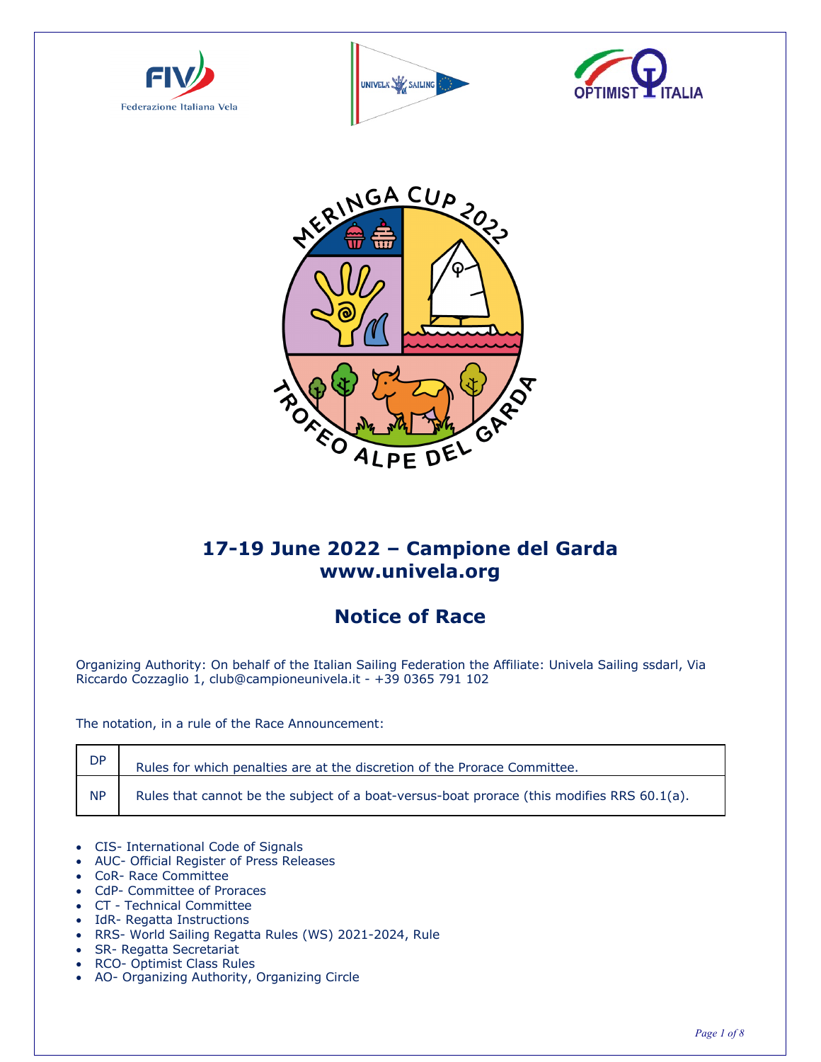







# **17-19 June 2022 – Campione del Garda www.univela.org**

# **Notice of Race**

Organizing Authority: On behalf of the Italian Sailing Federation the Affiliate: Univela Sailing ssdarl, Via Riccardo Cozzaglio 1, club@campioneunivela.it - +39 0365 791 102

The notation, in a rule of the Race Announcement:

| DP        | Rules for which penalties are at the discretion of the Prorace Committee.                  |
|-----------|--------------------------------------------------------------------------------------------|
| <b>NP</b> | Rules that cannot be the subject of a boat-versus-boat prorace (this modifies RRS 60.1(a). |

- CIS- International Code of Signals
- AUC- Official Register of Press Releases
- CoR- Race Committee
- CdP- Committee of Proraces
- CT Technical Committee
- IdR- Regatta Instructions
- RRS- World Sailing Regatta Rules (WS) 2021-2024, Rule
- SR- Regatta Secretariat
- RCO- Optimist Class Rules
- AO- Organizing Authority, Organizing Circle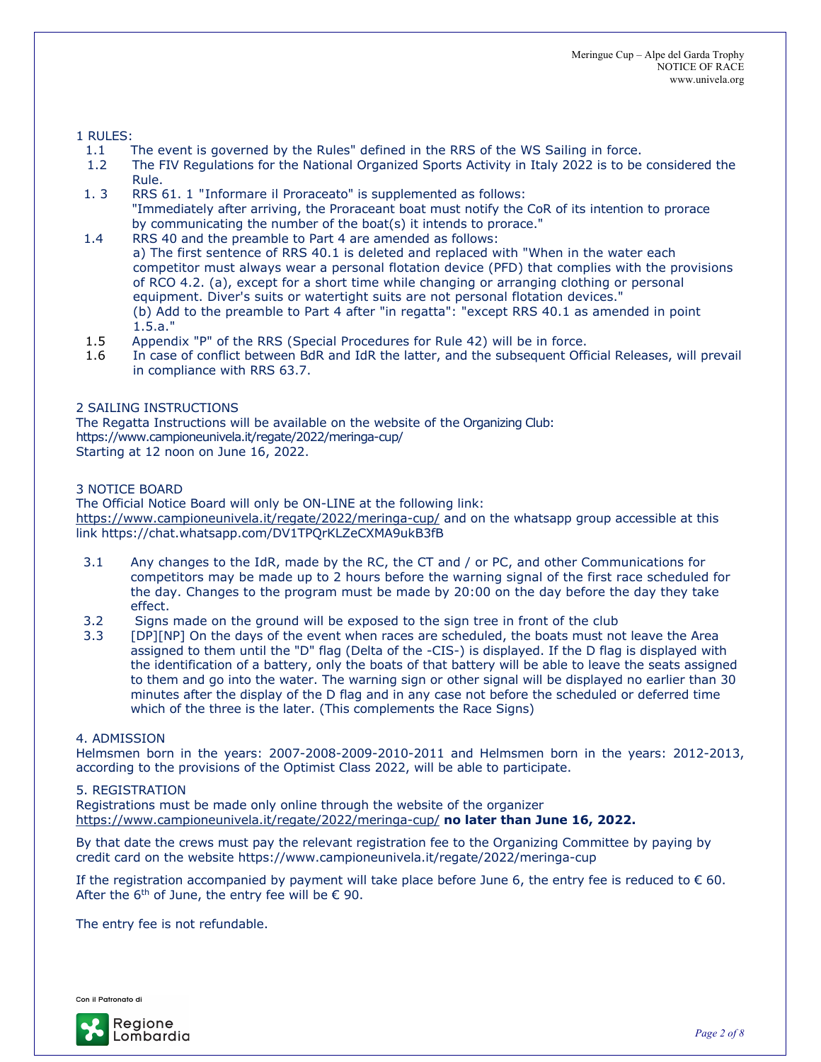### 1 RULES:

- 1.1 The event is governed by the Rules" defined in the RRS of the WS Sailing in force.
- 1.2 The FIV Regulations for the National Organized Sports Activity in Italy 2022 is to be considered the Rule.
- 1. 3 RRS 61. 1 "Informare il Proraceato" is supplemented as follows: "Immediately after arriving, the Proraceant boat must notify the CoR of its intention to prorace by communicating the number of the boat(s) it intends to prorace."
- 1.4 RRS 40 and the preamble to Part 4 are amended as follows: a) The first sentence of RRS 40.1 is deleted and replaced with "When in the water each competitor must always wear a personal flotation device (PFD) that complies with the provisions of RCO 4.2. (a), except for a short time while changing or arranging clothing or personal equipment. Diver's suits or watertight suits are not personal flotation devices." (b) Add to the preamble to Part 4 after "in regatta": "except RRS 40.1 as amended in point 1.5.a."
- 1.5 Appendix "P" of the RRS (Special Procedures for Rule 42) will be in force.
- 1.6 In case of conflict between BdR and IdR the latter, and the subsequent Official Releases, will prevail in compliance with RRS 63.7.

#### 2 SAILING INSTRUCTIONS

The Regatta Instructions will be available on the website of the Organizing Club: https://www.campioneunivela.it/regate/2022/meringa-cup/ Starting at 12 noon on June 16, 2022.

#### 3 NOTICE BOARD

The Official Notice Board will only be ON-LINE at the following link: https://www.campioneunivela.it/regate/2022/meringa-cup/ and on the whatsapp group accessible at this link https://chat.whatsapp.com/DV1TPQrKLZeCXMA9ukB3fB

- 3.1 Any changes to the IdR, made by the RC, the CT and / or PC, and other Communications for competitors may be made up to 2 hours before the warning signal of the first race scheduled for the day. Changes to the program must be made by 20:00 on the day before the day they take effect.
- 3.2 Signs made on the ground will be exposed to the sign tree in front of the club
- 3.3 [DP][NP] On the days of the event when races are scheduled, the boats must not leave the Area assigned to them until the "D" flag (Delta of the -CIS-) is displayed. If the D flag is displayed with the identification of a battery, only the boats of that battery will be able to leave the seats assigned to them and go into the water. The warning sign or other signal will be displayed no earlier than 30 minutes after the display of the D flag and in any case not before the scheduled or deferred time which of the three is the later. (This complements the Race Signs)

#### 4. ADMISSION

Helmsmen born in the years: 2007-2008-2009-2010-2011 and Helmsmen born in the years: 2012-2013, according to the provisions of the Optimist Class 2022, will be able to participate.

#### 5. REGISTRATION

Registrations must be made only online through the website of the organizer https://www.campioneunivela.it/regate/2022/meringa-cup/ **no later than June 16, 2022.**

By that date the crews must pay the relevant registration fee to the Organizing Committee by paying by credit card on the website https://www.campioneunivela.it/regate/2022/meringa-cup

If the registration accompanied by payment will take place before June 6, the entry fee is reduced to  $\epsilon$  60. After the  $6<sup>th</sup>$  of June, the entry fee will be  $\epsilon$  90.

The entry fee is not refundable.

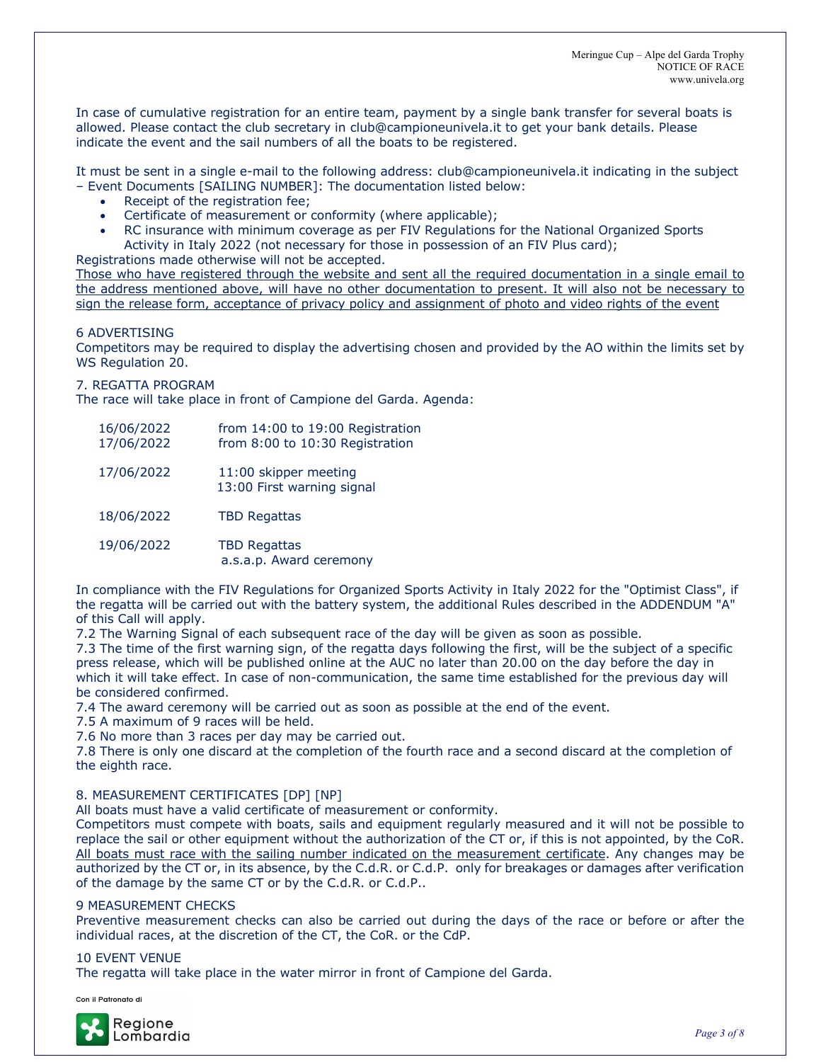In case of cumulative registration for an entire team, payment by a single bank transfer for several boats is allowed. Please contact the club secretary in club@campioneunivela.it to get your bank details. Please indicate the event and the sail numbers of all the boats to be registered.

It must be sent in a single e-mail to the following address: club@campioneunivela.it indicating in the subject – Event Documents [SAILING NUMBER]: The documentation listed below:

- Receipt of the registration fee;
- Certificate of measurement or conformity (where applicable);
- RC insurance with minimum coverage as per FIV Regulations for the National Organized Sports Activity in Italy 2022 (not necessary for those in possession of an FIV Plus card);

Registrations made otherwise will not be accepted.

Those who have registered through the website and sent all the required documentation in a single email to the address mentioned above, will have no other documentation to present. It will also not be necessary to sign the release form, acceptance of privacy policy and assignment of photo and video rights of the event

#### 6 ADVERTISING

Competitors may be required to display the advertising chosen and provided by the AO within the limits set by WS Regulation 20.

#### 7. REGATTA PROGRAM

The race will take place in front of Campione del Garda. Agenda:

| 16/06/2022<br>17/06/2022 | from 14:00 to 19:00 Registration<br>from 8:00 to 10:30 Registration |
|--------------------------|---------------------------------------------------------------------|
| 17/06/2022               | 11:00 skipper meeting<br>13:00 First warning signal                 |
| 18/06/2022               | <b>TBD Regattas</b>                                                 |
| 19/06/2022               | <b>TBD Regattas</b><br>a.s.a.p. Award ceremony                      |

In compliance with the FIV Regulations for Organized Sports Activity in Italy 2022 for the "Optimist Class", if the regatta will be carried out with the battery system, the additional Rules described in the ADDENDUM "A" of this Call will apply.

7.2 The Warning Signal of each subsequent race of the day will be given as soon as possible.

7.3 The time of the first warning sign, of the regatta days following the first, will be the subject of a specific press release, which will be published online at the AUC no later than 20.00 on the day before the day in which it will take effect. In case of non-communication, the same time established for the previous day will be considered confirmed.

7.4 The award ceremony will be carried out as soon as possible at the end of the event.

7.5 A maximum of 9 races will be held.

7.6 No more than 3 races per day may be carried out.

7.8 There is only one discard at the completion of the fourth race and a second discard at the completion of the eighth race.

#### 8. MEASUREMENT CERTIFICATES [DP] [NP]

All boats must have a valid certificate of measurement or conformity.

Competitors must compete with boats, sails and equipment regularly measured and it will not be possible to replace the sail or other equipment without the authorization of the CT or, if this is not appointed, by the CoR. All boats must race with the sailing number indicated on the measurement certificate. Any changes may be authorized by the CT or, in its absence, by the C.d.R. or C.d.P. only for breakages or damages after verification of the damage by the same CT or by the C.d.R. or C.d.P..

#### 9 MEASUREMENT CHECKS

Preventive measurement checks can also be carried out during the days of the race or before or after the individual races, at the discretion of the CT, the CoR. or the CdP.

#### 10 EVENT VENUE

The regatta will take place in the water mirror in front of Campione del Garda.

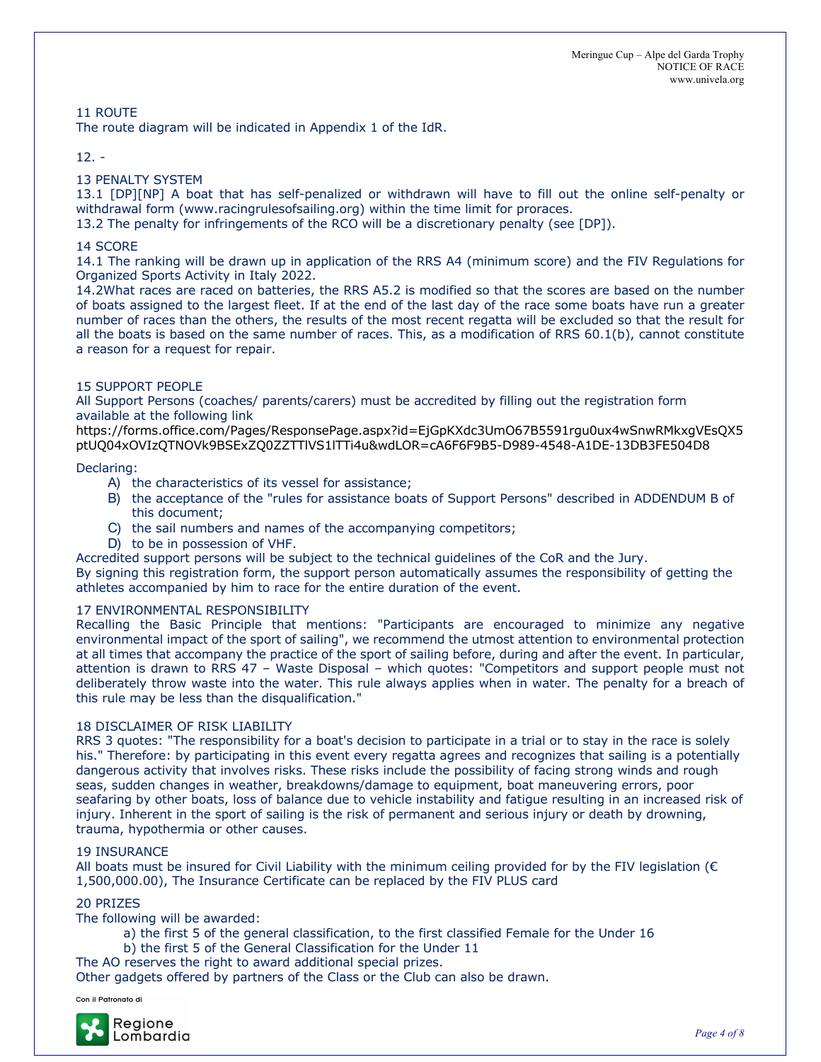# 11 ROUTE

The route diagram will be indicated in Appendix 1 of the IdR.

# 12. -

## 13 PENALTY SYSTEM

13.1 [DP][NP] A boat that has self-penalized or withdrawn will have to fill out the online self-penalty or withdrawal form (www.racingrulesofsailing.org) within the time limit for proraces.

13.2 The penalty for infringements of the RCO will be a discretionary penalty (see [DP]).

### 14 SCORE

14.1 The ranking will be drawn up in application of the RRS A4 (minimum score) and the FIV Regulations for Organized Sports Activity in Italy 2022.

14.2What races are raced on batteries, the RRS A5.2 is modified so that the scores are based on the number of boats assigned to the largest fleet. If at the end of the last day of the race some boats have run a greater number of races than the others, the results of the most recent regatta will be excluded so that the result for all the boats is based on the same number of races. This, as a modification of RRS 60.1(b), cannot constitute a reason for a request for repair.

#### 15 SUPPORT PEOPLE

All Support Persons (coaches/ parents/carers) must be accredited by filling out the registration form available at the following link

https://forms.office.com/Pages/ResponsePage.aspx?id=EjGpKXdc3UmO67B5591rgu0ux4wSnwRMkxgVEsQX5 ptUQ04xOVIzQTNOVk9BSExZQ0ZZTTlVS1lTTi4u&wdLOR=cA6F6F9B5-D989-4548-A1DE-13DB3FE504D8

#### Declaring:

- A) the characteristics of its vessel for assistance;
- B) the acceptance of the "rules for assistance boats of Support Persons" described in ADDENDUM B of this document;
- C) the sail numbers and names of the accompanying competitors;
- D) to be in possession of VHF.

Accredited support persons will be subject to the technical guidelines of the CoR and the Jury.

By signing this registration form, the support person automatically assumes the responsibility of getting the athletes accompanied by him to race for the entire duration of the event.

### 17 ENVIRONMENTAL RESPONSIBILITY

Recalling the Basic Principle that mentions: "Participants are encouraged to minimize any negative environmental impact of the sport of sailing", we recommend the utmost attention to environmental protection at all times that accompany the practice of the sport of sailing before, during and after the event. In particular, attention is drawn to RRS 47 – Waste Disposal – which quotes: "Competitors and support people must not deliberately throw waste into the water. This rule always applies when in water. The penalty for a breach of this rule may be less than the disqualification."

### 18 DISCLAIMER OF RISK LIABILITY

RRS 3 quotes: "The responsibility for a boat's decision to participate in a trial or to stay in the race is solely his." Therefore: by participating in this event every regatta agrees and recognizes that sailing is a potentially dangerous activity that involves risks. These risks include the possibility of facing strong winds and rough seas, sudden changes in weather, breakdowns/damage to equipment, boat maneuvering errors, poor seafaring by other boats, loss of balance due to vehicle instability and fatigue resulting in an increased risk of injury. Inherent in the sport of sailing is the risk of permanent and serious injury or death by drowning, trauma, hypothermia or other causes.

#### 19 INSURANCE

All boats must be insured for Civil Liability with the minimum ceiling provided for by the FIV legislation ( $\epsilon$ 1,500,000.00), The Insurance Certificate can be replaced by the FIV PLUS card

#### 20 PRIZES

The following will be awarded:

- a) the first 5 of the general classification, to the first classified Female for the Under 16
- b) the first 5 of the General Classification for the Under 11
- The AO reserves the right to award additional special prizes.

Other gadgets offered by partners of the Class or the Club can also be drawn.

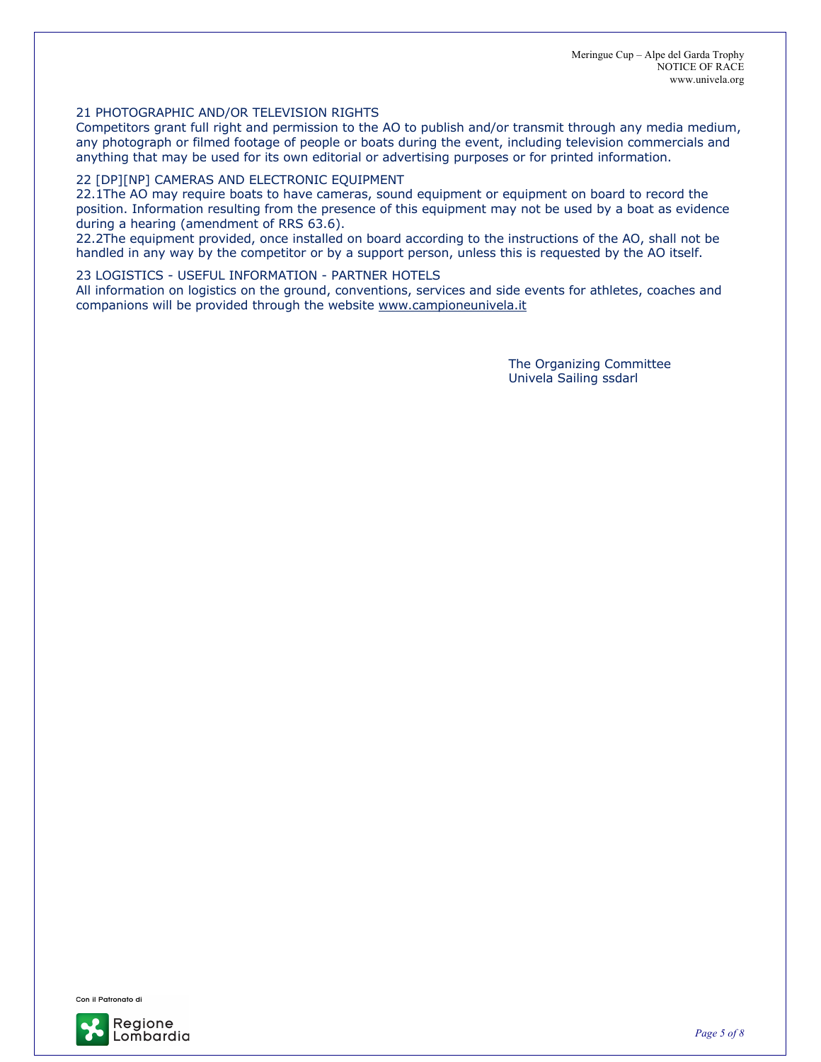Meringue Cup – Alpe del Garda Trophy NOTICE OF RACE www.univela.org

#### 21 PHOTOGRAPHIC AND/OR TELEVISION RIGHTS

Competitors grant full right and permission to the AO to publish and/or transmit through any media medium, any photograph or filmed footage of people or boats during the event, including television commercials and anything that may be used for its own editorial or advertising purposes or for printed information.

#### 22 [DP][NP] CAMERAS AND ELECTRONIC EQUIPMENT

22.1The AO may require boats to have cameras, sound equipment or equipment on board to record the position. Information resulting from the presence of this equipment may not be used by a boat as evidence during a hearing (amendment of RRS 63.6).

22.2The equipment provided, once installed on board according to the instructions of the AO, shall not be handled in any way by the competitor or by a support person, unless this is requested by the AO itself.

#### 23 LOGISTICS - USEFUL INFORMATION - PARTNER HOTELS

All information on logistics on the ground, conventions, services and side events for athletes, coaches and companions will be provided through the website www.campioneunivela.it

> The Organizing Committee Univela Sailing ssdarl



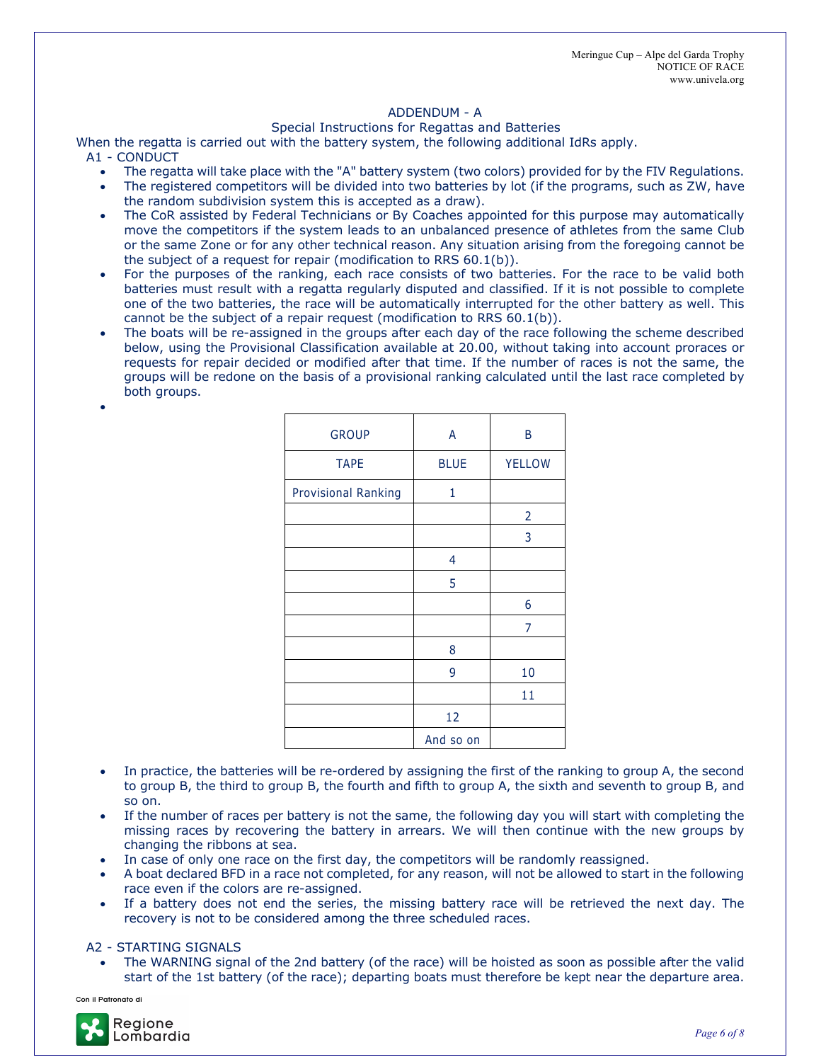#### ADDENDUM - A

#### Special Instructions for Regattas and Batteries

When the regatta is carried out with the battery system, the following additional IdRs apply. A1 - CONDUCT

- The regatta will take place with the "A" battery system (two colors) provided for by the FIV Regulations.
- The registered competitors will be divided into two batteries by lot (if the programs, such as ZW, have the random subdivision system this is accepted as a draw).
- The CoR assisted by Federal Technicians or By Coaches appointed for this purpose may automatically move the competitors if the system leads to an unbalanced presence of athletes from the same Club or the same Zone or for any other technical reason. Any situation arising from the foregoing cannot be the subject of a request for repair (modification to RRS 60.1(b)).
- For the purposes of the ranking, each race consists of two batteries. For the race to be valid both batteries must result with a regatta regularly disputed and classified. If it is not possible to complete one of the two batteries, the race will be automatically interrupted for the other battery as well. This cannot be the subject of a repair request (modification to RRS 60.1(b)).
- The boats will be re-assigned in the groups after each day of the race following the scheme described below, using the Provisional Classification available at 20.00, without taking into account proraces or requests for repair decided or modified after that time. If the number of races is not the same, the groups will be redone on the basis of a provisional ranking calculated until the last race completed by both groups.

| <b>GROUP</b>        | A           | B             |
|---------------------|-------------|---------------|
| <b>TAPE</b>         | <b>BLUE</b> | <b>YELLOW</b> |
| Provisional Ranking | 1           |               |
|                     |             | 2             |
|                     |             | 3             |
|                     | 4           |               |
|                     | 5           |               |
|                     |             | 6             |
|                     |             | 7             |
|                     | 8           |               |
|                     | 9           | 10            |
|                     |             | 11            |
|                     | 12          |               |
|                     | And so on   |               |

- In practice, the batteries will be re-ordered by assigning the first of the ranking to group A, the second to group B, the third to group B, the fourth and fifth to group A, the sixth and seventh to group B, and so on.
- If the number of races per battery is not the same, the following day you will start with completing the missing races by recovering the battery in arrears. We will then continue with the new groups by changing the ribbons at sea.
- In case of only one race on the first day, the competitors will be randomly reassigned.
- A boat declared BFD in a race not completed, for any reason, will not be allowed to start in the following race even if the colors are re-assigned.
- If a battery does not end the series, the missing battery race will be retrieved the next day. The recovery is not to be considered among the three scheduled races.

#### A2 - STARTING SIGNALS

• The WARNING signal of the 2nd battery (of the race) will be hoisted as soon as possible after the valid start of the 1st battery (of the race); departing boats must therefore be kept near the departure area.

Con il Patronato di

•

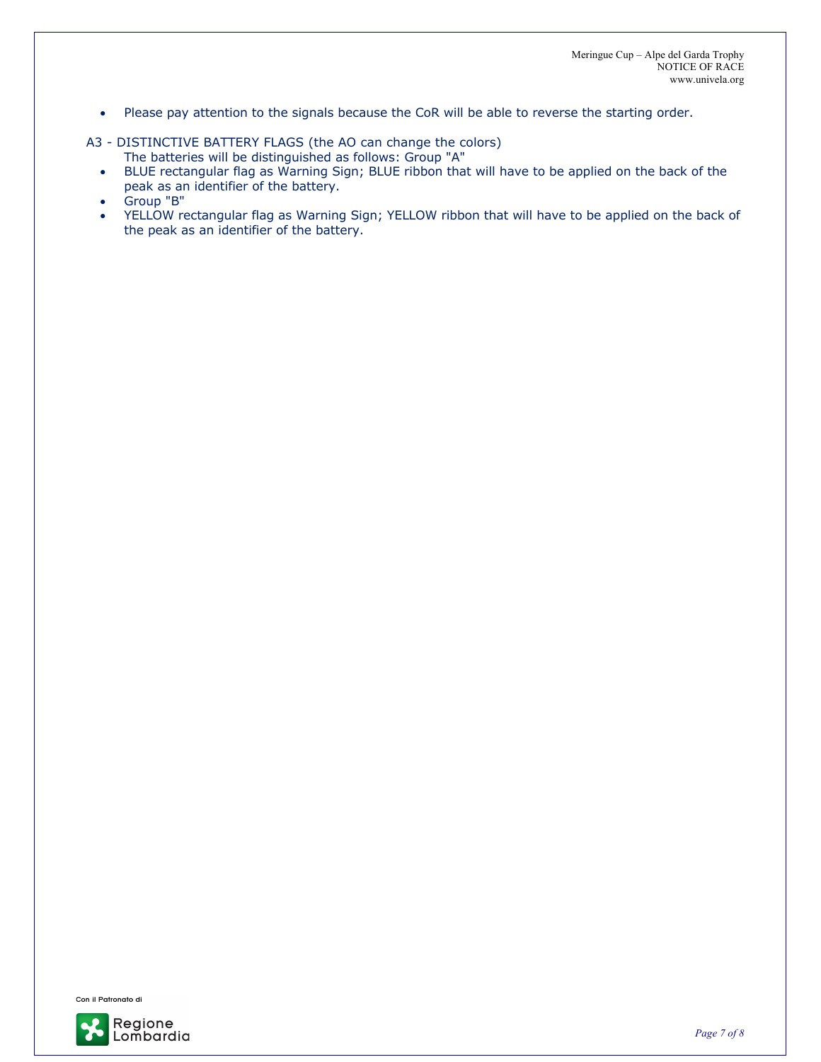• Please pay attention to the signals because the CoR will be able to reverse the starting order.

A3 - DISTINCTIVE BATTERY FLAGS (the AO can change the colors)

The batteries will be distinguished as follows: Group "A"

- BLUE rectangular flag as Warning Sign; BLUE ribbon that will have to be applied on the back of the peak as an identifier of the battery.
- Group "B"
- YELLOW rectangular flag as Warning Sign; YELLOW ribbon that will have to be applied on the back of the peak as an identifier of the battery.